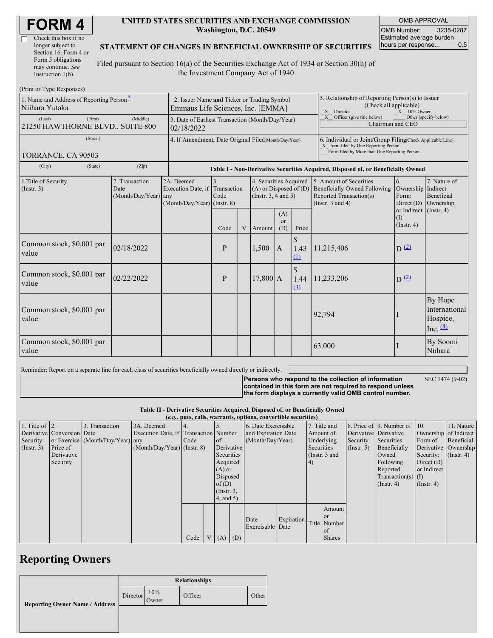| Check this box if no  |  |
|-----------------------|--|
| longer subject to     |  |
| Section 16. Form 4 or |  |
| Form 5 obligations    |  |
| may continue. See     |  |
| Instruction 1(b).     |  |

#### **UNITED STATES SECURITIES AND EXCHANGE COMMISSION Washington, D.C. 20549**

OMB APPROVAL OMB Number: 3235-0287 Estimated average burden hours per response... 0.5

#### **STATEMENT OF CHANGES IN BENEFICIAL OWNERSHIP OF SECURITIES**

Filed pursuant to Section 16(a) of the Securities Exchange Act of 1934 or Section 30(h) of the Investment Company Act of 1940

| (Print or Type Responses)                                  |                                                                                  |                                                                               |                                                                                  |                                                                                  |            |                                                                                                                                                                                                   |                                                                                                              |            |                         |                                                    |  |
|------------------------------------------------------------|----------------------------------------------------------------------------------|-------------------------------------------------------------------------------|----------------------------------------------------------------------------------|----------------------------------------------------------------------------------|------------|---------------------------------------------------------------------------------------------------------------------------------------------------------------------------------------------------|--------------------------------------------------------------------------------------------------------------|------------|-------------------------|----------------------------------------------------|--|
| 1. Name and Address of Reporting Person*<br>Niihara Yutaka | 2. Issuer Name and Ticker or Trading Symbol<br>Emmaus Life Sciences, Inc. [EMMA] |                                                                               |                                                                                  |                                                                                  |            |                                                                                                                                                                                                   | 5. Relationship of Reporting Person(s) to Issuer<br>(Check all applicable)<br>X Director<br>$X = 10\%$ Owner |            |                         |                                                    |  |
| (First)<br>(Last)<br>21250 HAWTHORNE BLVD., SUITE 800      | 3. Date of Earliest Transaction (Month/Day/Year)<br>02/18/2022                   |                                                                               |                                                                                  |                                                                                  |            | X Officer (give title below)<br>Other (specify below)<br>Chairman and CEO                                                                                                                         |                                                                                                              |            |                         |                                                    |  |
| (Street)<br>TORRANCE, CA 90503                             | 4. If Amendment, Date Original Filed(Month/Day/Year)                             |                                                                               |                                                                                  |                                                                                  |            | 6. Individual or Joint/Group Filing(Check Applicable Line)<br>X Form filed by One Reporting Person<br>Form filed by More than One Reporting Person                                                |                                                                                                              |            |                         |                                                    |  |
| (City)<br>(State)                                          | (Zip)                                                                            |                                                                               | Table I - Non-Derivative Securities Acquired, Disposed of, or Beneficially Owned |                                                                                  |            |                                                                                                                                                                                                   |                                                                                                              |            |                         |                                                    |  |
| 1. Title of Security<br>(Insert. 3)                        | 2. Transaction<br>Date<br>(Month/Day/Year) any                                   | 2A. Deemed<br>Execution Date, if Transaction<br>$(Month/Day/Year)$ (Instr. 8) | $\overline{3}$ .<br>Code                                                         | 4. Securities Acquired<br>$(A)$ or Disposed of $(D)$<br>(Instr. $3, 4$ and $5$ ) |            | 5. Amount of Securities<br>6.<br><b>Beneficially Owned Following</b><br>Ownership Indirect<br>Reported Transaction(s)<br>Form:<br>(Instr. $3$ and $4$ )<br>Direct $(D)$<br>or Indirect (Instr. 4) |                                                                                                              |            |                         | 7. Nature of<br>Beneficial<br>Ownership            |  |
|                                                            |                                                                                  |                                                                               | Code                                                                             | V                                                                                | Amount     | (A)<br>$\alpha$<br>(D)                                                                                                                                                                            | Price                                                                                                        |            | (I)<br>$($ Instr. 4 $)$ |                                                    |  |
| Common stock, \$0.001 par<br>value                         | 02/18/2022                                                                       |                                                                               | P                                                                                |                                                                                  | 1,500      | $\overline{A}$                                                                                                                                                                                    | $\mathbb{S}$<br>1.43<br>(1)                                                                                  | 11,215,406 | $D^{(2)}$               |                                                    |  |
| Common stock, \$0.001 par<br>value                         | 02/22/2022                                                                       |                                                                               | P                                                                                |                                                                                  | $17,800$ A |                                                                                                                                                                                                   | \$<br>1.44<br>$\Omega$                                                                                       | 11,233,206 | $D^{(2)}$               |                                                    |  |
| Common stock, \$0.001 par<br>value                         |                                                                                  |                                                                               |                                                                                  |                                                                                  |            |                                                                                                                                                                                                   |                                                                                                              | 92,794     |                         | By Hope<br>International<br>Hospice,<br>Inc. $(4)$ |  |
| Common stock, \$0.001 par<br>value                         |                                                                                  |                                                                               |                                                                                  |                                                                                  |            |                                                                                                                                                                                                   |                                                                                                              | 63,000     |                         | By Soomi<br>Niihara                                |  |

Reminder: Report on a separate line for each class of securities beneficially owned directly or indirectly.

**Persons who respond to the collection of information**

SEC 1474 (9-02)

**contained in this form are not required to respond unless the form displays a currently valid OMB control number.**

**Table II - Derivative Securities Acquired, Disposed of, or Beneficially Owned**

|                        | (e.g., puts, calls, warrants, options, convertible securities) |                                  |                                       |      |  |                 |            |                     |                 |            |               |              |                              |                       |            |
|------------------------|----------------------------------------------------------------|----------------------------------|---------------------------------------|------|--|-----------------|------------|---------------------|-----------------|------------|---------------|--------------|------------------------------|-----------------------|------------|
| 1. Title of $\vert$ 2. |                                                                | 3. Transaction                   | 3A. Deemed                            |      |  |                 |            | 6. Date Exercisable |                 |            | 7. Title and  |              | 8. Price of 9. Number of 10. |                       | 11. Nature |
|                        | Derivative Conversion Date                                     |                                  | Execution Date, if Transaction Number |      |  |                 |            | and Expiration Date |                 |            | Amount of     |              | Derivative Derivative        | Ownership of Indirect |            |
| Security               |                                                                | or Exercise (Month/Day/Year) any |                                       | Code |  | <sub>of</sub>   |            | (Month/Day/Year)    |                 |            | Underlying    | Security     | Securities                   | Form of               | Beneficial |
| $($ Instr. 3 $)$       | Price of                                                       |                                  | $(Month/Day/Year)$ (Instr. 8)         |      |  |                 | Derivative |                     | Securities      |            | (Insert. 5)   | Beneficially |                              | Derivative Ownership  |            |
|                        | Derivative                                                     |                                  |                                       |      |  |                 | Securities |                     | (Instr. $3$ and |            |               | Owned        | Security:                    | $($ Instr. 4 $)$      |            |
|                        | Security                                                       |                                  |                                       |      |  | Acquired        |            |                     |                 | $\vert 4)$ |               |              | Following                    | Direct $(D)$          |            |
|                        |                                                                |                                  |                                       |      |  | $(A)$ or        |            |                     |                 |            |               |              | Reported                     | or Indirect           |            |
|                        |                                                                |                                  |                                       |      |  | Disposed        |            |                     |                 |            |               |              | $Transaction(s)$ (I)         |                       |            |
|                        |                                                                |                                  |                                       |      |  | of $(D)$        |            |                     |                 |            |               |              | $($ Instr. 4 $)$             | $($ Instr. 4 $)$      |            |
|                        |                                                                |                                  |                                       |      |  | $($ Instr. $3,$ |            |                     |                 |            |               |              |                              |                       |            |
|                        |                                                                |                                  |                                       |      |  | $4$ , and $5$ ) |            |                     |                 |            |               |              |                              |                       |            |
|                        |                                                                |                                  |                                       |      |  |                 |            |                     |                 |            | Amount        |              |                              |                       |            |
|                        |                                                                |                                  |                                       |      |  |                 |            |                     |                 |            | or            |              |                              |                       |            |
|                        |                                                                |                                  |                                       |      |  |                 |            | Date                | Expiration      |            | Title Number  |              |                              |                       |            |
|                        |                                                                |                                  |                                       |      |  |                 |            | Exercisable Date    |                 |            | of            |              |                              |                       |            |
|                        |                                                                |                                  |                                       | Code |  | $V(A)$ (D)      |            |                     |                 |            | <b>Shares</b> |              |                              |                       |            |

## **Reporting Owners**

|                                       | <b>Relationships</b> |              |         |       |  |  |  |  |
|---------------------------------------|----------------------|--------------|---------|-------|--|--|--|--|
| <b>Reporting Owner Name / Address</b> | Director             | 10%<br>Owner | Officer | Other |  |  |  |  |
|                                       |                      |              |         |       |  |  |  |  |